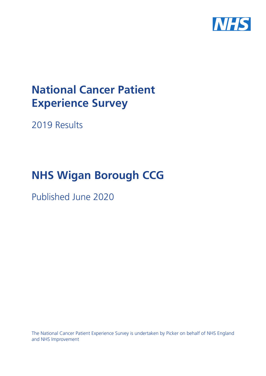

# **National Cancer Patient Experience Survey**

2019 Results

# **NHS Wigan Borough CCG**

Published June 2020

The National Cancer Patient Experience Survey is undertaken by Picker on behalf of NHS England and NHS Improvement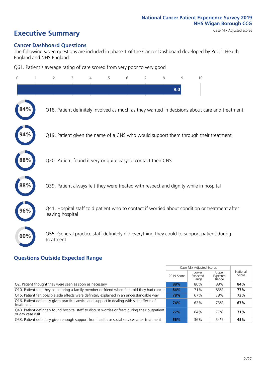# **Executive Summary** Case Mix Adjusted scores

### **Cancer Dashboard Questions**

The following seven questions are included in phase 1 of the Cancer Dashboard developed by Public Health England and NHS England:

Q61. Patient's average rating of care scored from very poor to very good

| $\mathbf{0}$ | $\overline{2}$                                                | 3 | 5 | 6 | 7 | 8 | 9   | 10                                                                                            |  |
|--------------|---------------------------------------------------------------|---|---|---|---|---|-----|-----------------------------------------------------------------------------------------------|--|
|              |                                                               |   |   |   |   |   | 9.0 |                                                                                               |  |
|              |                                                               |   |   |   |   |   |     | Q18. Patient definitely involved as much as they wanted in decisions about care and treatment |  |
|              |                                                               |   |   |   |   |   |     | Q19. Patient given the name of a CNS who would support them through their treatment           |  |
| 88%          | Q20. Patient found it very or quite easy to contact their CNS |   |   |   |   |   |     |                                                                                               |  |
| 88%          |                                                               |   |   |   |   |   |     | Q39. Patient always felt they were treated with respect and dignity while in hospital         |  |
|              | leaving hospital                                              |   |   |   |   |   |     | Q41. Hospital staff told patient who to contact if worried about condition or treatment after |  |
| 60%          | treatment                                                     |   |   |   |   |   |     | Q55. General practice staff definitely did everything they could to support patient during    |  |

### **Questions Outside Expected Range**

|                                                                                                                       |            | Case Mix Adjusted Scores   |                            |                   |
|-----------------------------------------------------------------------------------------------------------------------|------------|----------------------------|----------------------------|-------------------|
|                                                                                                                       | 2019 Score | Lower<br>Expected<br>Range | Upper<br>Expected<br>Range | National<br>Score |
| Q2. Patient thought they were seen as soon as necessary                                                               | 88%        | 80%                        | 88%                        | 84%               |
| Q10. Patient told they could bring a family member or friend when first told they had cancer                          | 84%        | 71%                        | 83%                        | 77%               |
| Q15. Patient felt possible side effects were definitely explained in an understandable way                            | 78%        | 67%                        | 78%                        | 73%               |
| Q16. Patient definitely given practical advice and support in dealing with side effects of<br>treatment               | 74%        | 62%                        | 73%                        | 67%               |
| Q43. Patient definitely found hospital staff to discuss worries or fears during their outpatient<br>or day case visit | 77%        | 64%                        | 77%                        | 71%               |
| Q53. Patient definitely given enough support from health or social services after treatment                           | 56%        | 36%                        | 54%                        | 45%               |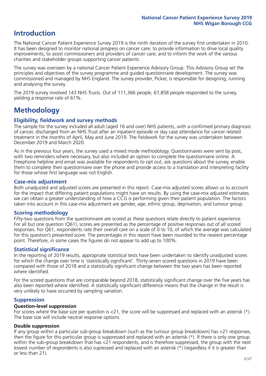# **Introduction**

The National Cancer Patient Experience Survey 2019 is the ninth iteration of the survey first undertaken in 2010. It has been designed to monitor national progress on cancer care; to provide information to drive local quality improvements; to assist commissioners and providers of cancer care; and to inform the work of the various charities and stakeholder groups supporting cancer patients.

The survey was overseen by a national Cancer Patient Experience Advisory Group. This Advisory Group set the principles and objectives of the survey programme and guided questionnaire development. The survey was commissioned and managed by NHS England. The survey provider, Picker, is responsible for designing, running and analysing the survey.

The 2019 survey involved 143 NHS Trusts. Out of 111,366 people, 67,858 people responded to the survey, yielding a response rate of 61%.

# **Methodology**

### **Eligibility, eldwork and survey methods**

The sample for the survey included all adult (aged 16 and over) NHS patients, with a confirmed primary diagnosis of cancer, discharged from an NHS Trust after an inpatient episode or day case attendance for cancer related treatment in the months of April, May and June 2019. The fieldwork for the survey was undertaken between December 2019 and March 2020.

As in the previous four years, the survey used a mixed mode methodology. Questionnaires were sent by post, with two reminders where necessary, but also included an option to complete the questionnaire online. A Freephone helpline and email was available for respondents to opt out, ask questions about the survey, enable them to complete their questionnaire over the phone and provide access to a translation and interpreting facility for those whose first language was not English.

### **Case-mix adjustment**

Both unadjusted and adjusted scores are presented in this report. Case-mix adjusted scores allows us to account for the impact that differing patient populations might have on results. By using the case-mix adjusted estimates we can obtain a greater understanding of how a CCG is performing given their patient population. The factors taken into account in this case-mix adjustment are gender, age, ethnic group, deprivation, and tumour group.

### **Scoring methodology**

Fifty-two questions from the questionnaire are scored as these questions relate directly to patient experience. For all but one question (Q61), scores are presented as the percentage of positive responses out of all scored responses. For Q61, respondents rate their overall care on a scale of 0 to 10, of which the average was calculated for this question's presented score. The percentages in this report have been rounded to the nearest percentage point. Therefore, in some cases the figures do not appear to add up to 100%.

### **Statistical significance**

In the reporting of 2019 results, appropriate statistical tests have been undertaken to identify unadjusted scores for which the change over time is 'statistically significant'. Thirty-seven scored questions in 2019 have been compared with those of 2018 and a statistically significant change between the two years has been reported where identified.

For the scored questions that are comparable beyond 2018, statistically significant change over the five years has also been reported where identified. A statistically significant difference means that the change in the result is very unlikely to have occurred by sampling variation.

### **Suppression**

### **Question-level suppression**

For scores where the base size per question is  $<$ 21, the score will be suppressed and replaced with an asterisk (\*). The base size will include neutral response options.

### **Double suppression**

If any group within a particular sub-group breakdown (such as the tumour group breakdown) has <21 responses, then the figure for this particular group is suppressed and replaced with an asterisk (\*). If there is only one group within the sub-group breakdown that has <21 respondents, and is therefore suppressed, the group with the next lowest number of respondents is also supressed and replaced with an asterisk (\*) (regardless if it is greater than or less than 21).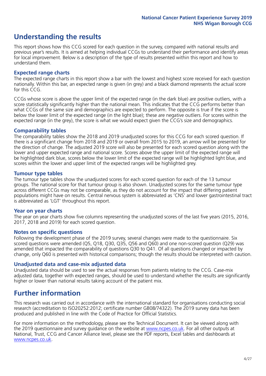# **Understanding the results**

This report shows how this CCG scored for each question in the survey, compared with national results and previous year's results. It is aimed at helping individual CCGs to understand their performance and identify areas for local improvement. Below is a description of the type of results presented within this report and how to understand them.

### **Expected range charts**

The expected range charts in this report show a bar with the lowest and highest score received for each question nationally. Within this bar, an expected range is given (in grey) and a black diamond represents the actual score for this CCG.

CCGs whose score is above the upper limit of the expected range (in the dark blue) are positive outliers, with a score statistically significantly higher than the national mean. This indicates that the CCG performs better than what CCGs of the same size and demographics are expected to perform. The opposite is true if the score is below the lower limit of the expected range (in the light blue); these are negative outliers. For scores within the expected range (in the grey), the score is what we would expect given the CCG's size and demographics.

### **Comparability tables**

The comparability tables show the 2018 and 2019 unadjusted scores for this CCG for each scored question. If there is a significant change from 2018 and 2019 or overall from 2015 to 2019, an arrow will be presented for the direction of change. The adjusted 2019 score will also be presented for each scored question along with the lower and upper expected range and national score. Scores above the upper limit of the expected range will be highlighted dark blue, scores below the lower limit of the expected range will be highlighted light blue, and scores within the lower and upper limit of the expected ranges will be highlighted grey.

### **Tumour type tables**

The tumour type tables show the unadjusted scores for each scored question for each of the 13 tumour groups. The national score for that tumour group is also shown. Unadjusted scores for the same tumour type across different CCGs may not be comparable, as they do not account for the impact that differing patient populations might have on results. Central nervous system is abbreviated as 'CNS' and lower gastrointestinal tract is abbreviated as 'LGT' throughout this report.

### **Year on year charts**

The year on year charts show five columns representing the unadjusted scores of the last five years (2015, 2016, 2017, 2018 and 2019) for each scored question.

### **Notes on specific questions**

Following the development phase of the 2019 survey, several changes were made to the questionnaire. Six scored questions were amended (Q5, Q18, Q30, Q35, Q56 and Q60) and one non-scored question (Q29) was amended that impacted the comparability of questions Q30 to Q41. Of all questions changed or impacted by change, only Q60 is presented with historical comparisons; though the results should be interpreted with caution.

### **Unadjusted data and case-mix adjusted data**

Unadjusted data should be used to see the actual responses from patients relating to the CCG. Case-mix adjusted data, together with expected ranges, should be used to understand whether the results are significantly higher or lower than national results taking account of the patient mix.

### **Further information**

This research was carried out in accordance with the international standard for organisations conducting social research (accreditation to ISO20252:2012; certificate number GB08/74322). The 2019 survey data has been produced and published in line with the Code of Practice for Official Statistics.

For more information on the methodology, please see the Technical Document. It can be viewed along with the 2019 questionnaire and survey quidance on the website at [www.ncpes.co.uk](https://www.ncpes.co.uk/supporting-documents). For all other outputs at National, Trust, CCG and Cancer Alliance level, please see the PDF reports, Excel tables and dashboards at [www.ncpes.co.uk.](https://www.ncpes.co.uk/current-results)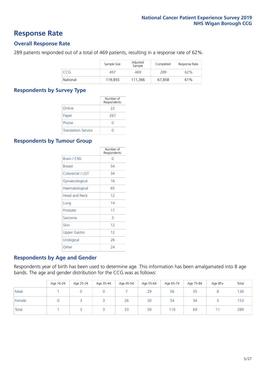### **Response Rate**

### **Overall Response Rate**

289 patients responded out of a total of 469 patients, resulting in a response rate of 62%.

|          | Sample Size | Adjusted<br>Sample | Completed | Response Rate |
|----------|-------------|--------------------|-----------|---------------|
| CCG      | 497         | 469                | 289       | 62%           |
| National | 119.855     | 111,366            | 67,858    | 61%           |

### **Respondents by Survey Type**

|                            | Number of<br>Respondents |
|----------------------------|--------------------------|
| Online                     | 22                       |
| Paper                      | 267                      |
| Phone                      |                          |
| <b>Translation Service</b> |                          |

### **Respondents by Tumour Group**

|                      | Number of<br>Respondents |
|----------------------|--------------------------|
| <b>Brain / CNS</b>   | ∩                        |
| <b>Breast</b>        | 54                       |
| Colorectal / LGT     | 34                       |
| Gynaecological       | 16                       |
| Haematological       | 65                       |
| <b>Head and Neck</b> | 12                       |
| Lung                 | 14                       |
| Prostate             | 17                       |
| Sarcoma              | 3                        |
| Skin                 | 12                       |
| Upper Gastro         | 12                       |
| Urological           | 26                       |
| Other                | 24                       |

### **Respondents by Age and Gender**

Respondents year of birth has been used to determine age. This information has been amalgamated into 8 age bands. The age and gender distribution for the CCG was as follows:

|        | Age 16-24 | Age 25-34 | Age 35-44 | Age 45-54 | Age 55-64 | Age 65-74 | Age 75-84 | Age 85+ | Total |
|--------|-----------|-----------|-----------|-----------|-----------|-----------|-----------|---------|-------|
| Male   |           |           |           |           | 29        | 56        | 35        |         | 136   |
| Female |           |           |           | 26        | 30        | 54        | 34        |         | 153   |
| Total  |           |           |           | 33        | 59        | 110       | 69        |         | 289   |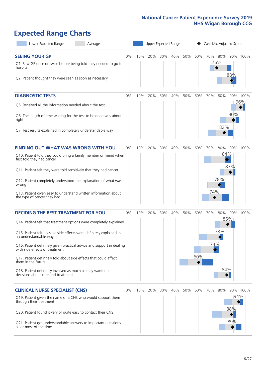# **Expected Range Charts**

| Lower Expected Range<br>Average                                                                         |    |     |     |     | Upper Expected Range |     |     | Case Mix Adjusted Score |          |            |          |
|---------------------------------------------------------------------------------------------------------|----|-----|-----|-----|----------------------|-----|-----|-------------------------|----------|------------|----------|
| <b>SEEING YOUR GP</b>                                                                                   | 0% | 10% | 20% | 30% | 40%                  | 50% | 60% | 70% 80%                 |          |            | 90% 100% |
| Q1. Saw GP once or twice before being told they needed to go to<br>hospital                             |    |     |     |     |                      |     |     |                         | 76%      | 88%        |          |
| Q2. Patient thought they were seen as soon as necessary                                                 |    |     |     |     |                      |     |     |                         |          |            |          |
| <b>DIAGNOSTIC TESTS</b>                                                                                 | 0% | 10% | 20% | 30% | 40%                  | 50% | 60% | 70%                     | 80%      |            | 90% 100% |
| O5. Received all the information needed about the test                                                  |    |     |     |     |                      |     |     |                         |          |            | 96%      |
| Q6. The length of time waiting for the test to be done was about<br>right                               |    |     |     |     |                      |     |     |                         |          | 90%        |          |
| Q7. Test results explained in completely understandable way                                             |    |     |     |     |                      |     |     |                         | 82%      |            |          |
| <b>FINDING OUT WHAT WAS WRONG WITH YOU</b>                                                              | 0% | 10% | 20% | 30% | 40%                  | 50% | 60% | 70%                     | 80%      |            | 90% 100% |
| Q10. Patient told they could bring a family member or friend when<br>first told they had cancer         |    |     |     |     |                      |     |     |                         | 84%<br>♦ |            |          |
| Q11. Patient felt they were told sensitively that they had cancer                                       |    |     |     |     |                      |     |     |                         |          | 87%        |          |
| Q12. Patient completely understood the explanation of what was<br>wrong                                 |    |     |     |     |                      |     |     |                         | 78%      |            |          |
| Q13. Patient given easy to understand written information about<br>the type of cancer they had          |    |     |     |     |                      |     |     | 74%                     |          |            |          |
| <b>DECIDING THE BEST TREATMENT FOR YOU</b>                                                              | 0% | 10% | 20% | 30% | 40%                  | 50% | 60% | 70%                     | 80%      |            | 90% 100% |
| Q14. Patient felt that treatment options were completely explained                                      |    |     |     |     |                      |     |     |                         |          | 85%        |          |
| Q15. Patient felt possible side effects were definitely explained in<br>an understandable way           |    |     |     |     |                      |     |     |                         | 78%      |            |          |
| Q16. Patient definitely given practical advice and support in dealing<br>with side effects of treatment |    |     |     |     |                      |     |     | 74%                     |          |            |          |
| Q17. Patient definitely told about side effects that could affect<br>them in the future                 |    |     |     |     |                      |     | 60% |                         |          |            |          |
| Q18. Patient definitely involved as much as they wanted in<br>decisions about care and treatment        |    |     |     |     |                      |     |     |                         | 84%      |            |          |
| <b>CLINICAL NURSE SPECIALIST (CNS)</b>                                                                  | 0% | 10% | 20% | 30% | 40%                  | 50% | 60% | 70%                     | 80%      |            | 90% 100% |
| Q19. Patient given the name of a CNS who would support them<br>through their treatment                  |    |     |     |     |                      |     |     |                         |          | 94%<br>88% |          |
| Q20. Patient found it very or quite easy to contact their CNS                                           |    |     |     |     |                      |     |     |                         |          | 89%        |          |
| Q21. Patient got understandable answers to important questions<br>all or most of the time               |    |     |     |     |                      |     |     |                         |          |            |          |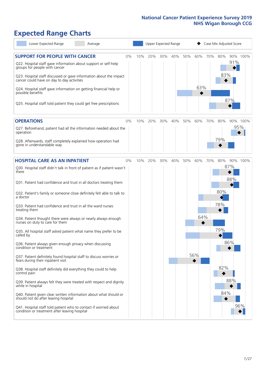# **Expected Range Charts**

| Lower Expected Range<br>Average                                                                                                                                                                            |    |     |     |     | Upper Expected Range |     |     |     | Case Mix Adjusted Score |            |          |
|------------------------------------------------------------------------------------------------------------------------------------------------------------------------------------------------------------|----|-----|-----|-----|----------------------|-----|-----|-----|-------------------------|------------|----------|
| <b>SUPPORT FOR PEOPLE WITH CANCER</b><br>Q22. Hospital staff gave information about support or self-help<br>groups for people with cancer                                                                  | 0% | 10% | 20% | 30% | 40%                  | 50% | 60% | 70% | 80%<br>83%              | 91%        | 90% 100% |
| Q23. Hospital staff discussed or gave information about the impact<br>cancer could have on day to day activities<br>Q24. Hospital staff gave information on getting financial help or<br>possible benefits |    |     |     |     |                      |     | 63% |     |                         |            |          |
| Q25. Hospital staff told patient they could get free prescriptions                                                                                                                                         |    |     |     |     |                      |     |     |     |                         | 87%        |          |
| <b>OPERATIONS</b>                                                                                                                                                                                          | 0% | 10% | 20% | 30% | 40%                  | 50% | 60% | 70% | 80%                     |            | 90% 100% |
| Q27. Beforehand, patient had all the information needed about the<br>operation                                                                                                                             |    |     |     |     |                      |     |     |     |                         | 95%        |          |
| Q28. Afterwards, staff completely explained how operation had<br>gone in understandable way                                                                                                                |    |     |     |     |                      |     |     |     | 79%                     |            |          |
| <b>HOSPITAL CARE AS AN INPATIENT</b>                                                                                                                                                                       | 0% | 10% | 20% | 30% | 40%                  | 50% | 60% | 70% | 80%                     |            | 90% 100% |
| Q30. Hospital staff didn't talk in front of patient as if patient wasn't<br>there                                                                                                                          |    |     |     |     |                      |     |     |     |                         | 87%<br>88% |          |
| Q31. Patient had confidence and trust in all doctors treating them                                                                                                                                         |    |     |     |     |                      |     |     |     |                         |            |          |
| Q32. Patient's family or someone close definitely felt able to talk to<br>a doctor                                                                                                                         |    |     |     |     |                      |     |     |     | 80%                     |            |          |
| Q33. Patient had confidence and trust in all the ward nurses<br>treating them                                                                                                                              |    |     |     |     |                      |     |     |     | 78%                     |            |          |
| Q34. Patient thought there were always or nearly always enough<br>nurses on duty to care for them                                                                                                          |    |     |     |     |                      |     | 64% |     |                         |            |          |
| Q35. All hospital staff asked patient what name they prefer to be<br>called by                                                                                                                             |    |     |     |     |                      |     |     |     | 79%                     |            |          |
| Q36. Patient always given enough privacy when discussing<br>condition or treatment                                                                                                                         |    |     |     |     |                      |     |     |     |                         | 86%        |          |
| Q37. Patient definitely found hospital staff to discuss worries or<br>fears during their inpatient visit                                                                                                   |    |     |     |     |                      |     | 56% |     |                         |            |          |
| Q38. Hospital staff definitely did everything they could to help<br>control pain                                                                                                                           |    |     |     |     |                      |     |     |     | 82%                     |            |          |
| Q39. Patient always felt they were treated with respect and dignity<br>while in hospital                                                                                                                   |    |     |     |     |                      |     |     |     |                         | 88%        |          |
| Q40. Patient given clear written information about what should or<br>should not do after leaving hospital                                                                                                  |    |     |     |     |                      |     |     |     | 84%                     |            |          |
| Q41. Hospital staff told patient who to contact if worried about<br>condition or treatment after leaving hospital                                                                                          |    |     |     |     |                      |     |     |     |                         |            | 96%      |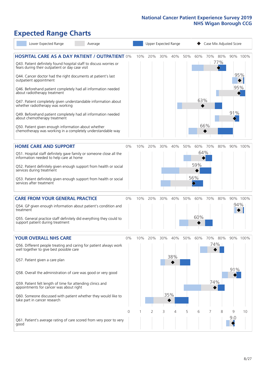# **Expected Range Charts**

| Lower Expected Range<br>Average                                                                                                                                                |       |     |     |     | Upper Expected Range |     |     | Case Mix Adjusted Score |     |          |          |
|--------------------------------------------------------------------------------------------------------------------------------------------------------------------------------|-------|-----|-----|-----|----------------------|-----|-----|-------------------------|-----|----------|----------|
| <b>HOSPITAL CARE AS A DAY PATIENT / OUTPATIENT 0%</b><br>Q43. Patient definitely found hospital staff to discuss worries or<br>fears during their outpatient or day case visit |       | 10% | 20% | 30% | 40%                  | 50% | 60% | 70% 80%                 | 77% |          | 90% 100% |
| Q44. Cancer doctor had the right documents at patient's last<br>outpatient appointment                                                                                         |       |     |     |     |                      |     |     |                         |     |          | 95%      |
| Q46. Beforehand patient completely had all information needed<br>about radiotherapy treatment                                                                                  |       |     |     |     |                      |     |     |                         |     | 95%      |          |
| Q47. Patient completely given understandable information about<br>whether radiotherapy was working                                                                             |       |     |     |     |                      |     | 63% |                         |     |          |          |
| Q49. Beforehand patient completely had all information needed<br>about chemotherapy treatment                                                                                  |       |     |     |     |                      |     |     |                         |     | 91%      |          |
| Q50. Patient given enough information about whether<br>chemotherapy was working in a completely understandable way                                                             |       |     |     |     |                      |     |     | 66%                     |     |          |          |
| <b>HOME CARE AND SUPPORT</b>                                                                                                                                                   | 0%    | 10% | 20% | 30% | 40%                  | 50% | 60% | 70%                     | 80% |          | 90% 100% |
| Q51. Hospital staff definitely gave family or someone close all the<br>information needed to help care at home                                                                 |       |     |     |     |                      |     |     | 64%                     |     |          |          |
| Q52. Patient definitely given enough support from health or social<br>services during treatment                                                                                |       |     |     |     |                      |     | 59% |                         |     |          |          |
| Q53. Patient definitely given enough support from health or social<br>services after treatment                                                                                 |       |     |     |     |                      |     | 56% |                         |     |          |          |
| <b>CARE FROM YOUR GENERAL PRACTICE</b>                                                                                                                                         | 0%    | 10% | 20% | 30% | 40%                  | 50% | 60% | 70%                     | 80% |          | 90% 100% |
| Q54. GP given enough information about patient's condition and<br>treatment                                                                                                    |       |     |     |     |                      |     |     |                         |     | 94%      |          |
| Q55. General practice staff definitely did everything they could to<br>support patient during treatment                                                                        |       |     |     |     |                      |     | 60% |                         |     |          |          |
| <b>YOUR OVERALL NHS CARE</b>                                                                                                                                                   | $0\%$ | 10% | 20% | 30% | 40%                  | 50% | 60% | 70%                     | 80% |          | 90% 100% |
| Q56. Different people treating and caring for patient always work<br>well together to give best possible care                                                                  |       |     |     |     |                      |     |     |                         | 74% |          |          |
| Q57. Patient given a care plan                                                                                                                                                 |       |     |     |     | 38%                  |     |     |                         |     |          |          |
| Q58. Overall the administration of care was good or very good                                                                                                                  |       |     |     |     |                      |     |     |                         |     | 91%      |          |
| Q59. Patient felt length of time for attending clinics and<br>appointments for cancer was about right                                                                          |       |     |     |     |                      |     |     | 74%                     |     |          |          |
| Q60. Someone discussed with patient whether they would like to<br>take part in cancer research                                                                                 |       |     |     |     | 35%                  |     |     |                         |     |          |          |
|                                                                                                                                                                                | 0     |     | 2   | 3   | 4                    | 5   | 6   | 7                       | 8   | 9<br>9.0 | 10       |
| Q61. Patient's average rating of care scored from very poor to very<br>good                                                                                                    |       |     |     |     |                      |     |     |                         |     |          |          |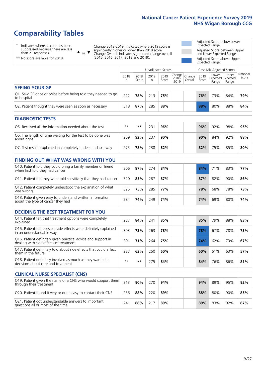# **Comparability Tables**

\* Indicates where a score has been suppressed because there are less than 21 responses.

\*\* No score available for 2018.

 $\triangle$  or  $\nabla$ 

Change 2018-2019: Indicates where 2019 score is significantly higher or lower than 2018 score Change Overall: Indicates significant change overall (2015, 2016, 2017, 2018 and 2019).

Adjusted Score below Lower Expected Range Adjusted Score between Upper and Lower Expected Ranges Adjusted Score above Upper Expected Range

|                                                                             | Case Mix Adjusted Scores<br>Unadjusted Scores |               |           |               |                                                   |         |               |                |                                     |                   |
|-----------------------------------------------------------------------------|-----------------------------------------------|---------------|-----------|---------------|---------------------------------------------------|---------|---------------|----------------|-------------------------------------|-------------------|
|                                                                             | 2018<br>n                                     | 2018<br>Score | 2019<br>n | 2019<br>Score | $\sim$  Change   Change   $\sim$<br>2018-<br>2019 | Overall | 2019<br>Score | Lower<br>Range | Upper<br>Expected Expected<br>Range | National<br>Score |
| <b>SEEING YOUR GP</b>                                                       |                                               |               |           |               |                                                   |         |               |                |                                     |                   |
| Q1. Saw GP once or twice before being told they needed to go<br>to hospital | 222                                           | 78%           | 213       | 75%           |                                                   |         | 76%           | 73%            | 84%                                 | 79%               |
| Q2. Patient thought they were seen as soon as necessary                     | 318                                           | 87%           | 285       | 88%           |                                                   |         | 88%           | 80%            | 88%                                 | 84%               |

| <b>DIAGNOSTIC TESTS</b>                                                   |      |     |     |     |  |     |     |     |     |
|---------------------------------------------------------------------------|------|-----|-----|-----|--|-----|-----|-----|-----|
| O5. Received all the information needed about the test                    | $**$ | **  | 231 | 96% |  | 96% | 92% | 98% | 95% |
| Q6. The length of time waiting for the test to be done was<br>about right | 269  | 92% | 237 | 90% |  | 90% | 84% | 92% | 88% |
| Q7. Test results explained in completely understandable way               | 275  | 78% | 238 | 82% |  | 82% | 75% | 85% | 80% |

| <b>FINDING OUT WHAT WAS WRONG WITH YOU</b>                                                      |     |     |     |     |     |     |     |     |
|-------------------------------------------------------------------------------------------------|-----|-----|-----|-----|-----|-----|-----|-----|
| Q10. Patient told they could bring a family member or friend<br>when first told they had cancer | 306 | 87% | 274 | 84% | 84% | 71% | 83% | 77% |
| Q11. Patient felt they were told sensitively that they had cancer                               | 320 | 85% | 287 | 87% | 87% | 82% | 90% | 86% |
| Q12. Patient completely understood the explanation of what<br>was wrong                         | 325 | 75% | 285 | 77% | 78% | 68% | 78% | 73% |
| Q13. Patient given easy to understand written information<br>about the type of cancer they had  | 284 | 74% | 249 | 74% | 74% | 69% | 80% | 74% |

| <b>DECIDING THE BEST TREATMENT FOR YOU</b>                                                              |      |       |     |     |  |     |     |     |     |
|---------------------------------------------------------------------------------------------------------|------|-------|-----|-----|--|-----|-----|-----|-----|
| Q14. Patient felt that treatment options were completely<br>explained                                   | 287  | 84%   | 241 | 85% |  | 85% | 79% | 88% | 83% |
| Q15. Patient felt possible side effects were definitely explained<br>in an understandable way           | 303  | 73%   | 263 | 78% |  | 78% | 67% | 78% | 73% |
| Q16. Patient definitely given practical advice and support in<br>dealing with side effects of treatment | 301  | 71%   | 264 | 75% |  | 74% | 62% | 73% | 67% |
| Q17. Patient definitely told about side effects that could affect<br>them in the future                 | 287  | 63%   | 250 | 60% |  | 60% | 51% | 63% | 57% |
| Q18. Patient definitely involved as much as they wanted in<br>decisions about care and treatment        | $**$ | $* *$ | 275 | 84% |  | 84% | 76% | 86% | 81% |

| <b>CLINICAL NURSE SPECIALIST (CNS)</b>                                                    |     |     |     |     |  |     |     |     |     |
|-------------------------------------------------------------------------------------------|-----|-----|-----|-----|--|-----|-----|-----|-----|
| Q19. Patient given the name of a CNS who would support them<br>through their treatment    | 313 | 90% | 270 | 94% |  | 94% | 89% | 95% | 92% |
| Q20. Patient found it very or quite easy to contact their CNS                             | 256 | 88% | 220 | 89% |  | 88% | 80% | 90% | 85% |
| Q21. Patient got understandable answers to important<br>questions all or most of the time | 241 | 88% | 217 | 89% |  | 89% | 83% | 92% | 87% |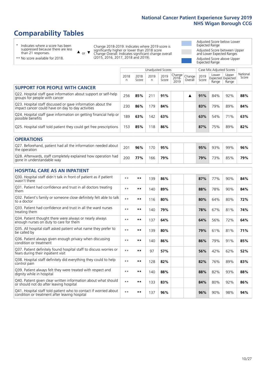# **Comparability Tables**

\* Indicates where a score has been suppressed because there are less than 21 responses.

\*\* No score available for 2018.

 $\triangle$  or  $\nabla$ 

Change 2018-2019: Indicates where 2019 score is significantly higher or lower than 2018 score Change Overall: Indicates significant change overall (2015, 2016, 2017, 2018 and 2019).

Adjusted Score below Lower Expected Range Adjusted Score between Upper and Lower Expected Ranges Adjusted Score above Upper Expected Range

|                                                                                                                   |              |               |            | Unadjusted Scores |                         |                   |               | Case Mix Adjusted Scores            |                |                   |
|-------------------------------------------------------------------------------------------------------------------|--------------|---------------|------------|-------------------|-------------------------|-------------------|---------------|-------------------------------------|----------------|-------------------|
|                                                                                                                   | 2018<br>n    | 2018<br>Score | 2019<br>n. | 2019<br>Score     | Change<br>2018-<br>2019 | Change<br>Overall | 2019<br>Score | Lower<br>Expected Expected<br>Range | Upper<br>Range | National<br>Score |
| <b>SUPPORT FOR PEOPLE WITH CANCER</b>                                                                             |              |               |            |                   |                         |                   |               |                                     |                |                   |
| Q22. Hospital staff gave information about support or self-help<br>groups for people with cancer                  | 256          | 85%           | 211        | 91%               |                         | ▲                 | 91%           | 84%                                 | 92%            | 88%               |
| Q23. Hospital staff discussed or gave information about the<br>impact cancer could have on day to day activities  | 230          | 86%           | 179        | 84%               |                         |                   | 83%           | 79%                                 | 89%            | 84%               |
| Q24. Hospital staff gave information on getting financial help or<br>possible benefits                            | 189          | 63%           | 142        | 63%               |                         |                   | 63%           | 54%                                 | 71%            | 63%               |
| Q25. Hospital staff told patient they could get free prescriptions                                                | 153          | 85%           | 118        | 86%               |                         |                   | 87%           | 75%                                 | 89%            | 82%               |
| <b>OPERATIONS</b>                                                                                                 |              |               |            |                   |                         |                   |               |                                     |                |                   |
| Q27. Beforehand, patient had all the information needed about<br>the operation                                    | 201          | 96%           | 170        | 95%               |                         |                   | 95%           | 93%                                 | 99%            | 96%               |
| Q28. Afterwards, staff completely explained how operation had<br>gone in understandable way                       | 200          | 77%           | 166        | 79%               |                         |                   | 79%           | 73%                                 | 85%            | 79%               |
| <b>HOSPITAL CARE AS AN INPATIENT</b>                                                                              |              |               |            |                   |                         |                   |               |                                     |                |                   |
| Q30. Hospital staff didn't talk in front of patient as if patient<br>wasn't there                                 | $**$         | **            | 139        | 86%               |                         |                   | 87%           | 77%                                 | 90%            | 84%               |
| Q31. Patient had confidence and trust in all doctors treating<br>them                                             | $* *$        | **            | 140        | 89%               |                         |                   | 88%           | 78%                                 | 90%            | 84%               |
| Q32. Patient's family or someone close definitely felt able to talk<br>to a doctor                                | $* *$        | **            | 116        | 80%               |                         |                   | 80%           | 64%                                 | 80%            | 72%               |
| Q33. Patient had confidence and trust in all the ward nurses<br>treating them                                     | $* *$        | **            | 140        | 79%               |                         |                   | 78%           | 67%                                 | 81%            | 74%               |
| Q34. Patient thought there were always or nearly always<br>enough nurses on duty to care for them                 | $**$         | $***$         | 137        | 64%               |                         |                   | 64%           | 56%                                 | 72%            | 64%               |
| Q35. All hospital staff asked patient what name they prefer to<br>be called by                                    | $**$         | **            | 139        | 80%               |                         |                   | 79%           | 61%                                 | 81%            | 71%               |
| Q36. Patient always given enough privacy when discussing<br>condition or treatment                                | $\star\star$ | $***$         | 140        | 86%               |                         |                   | 86%           | 79%                                 | 91%            | 85%               |
| Q37. Patient definitely found hospital staff to discuss worries or<br>fears during their inpatient visit          | $* *$        | **            | 97         | 57%               |                         |                   | 56%           | 42%                                 | 62%            | 52%               |
| Q38. Hospital staff definitely did everything they could to help<br>control pain                                  | $* *$        | **            | 128        | 82%               |                         |                   | 82%           | 76%                                 | 89%            | 83%               |
| Q39. Patient always felt they were treated with respect and<br>dignity while in hospital                          | $***$        | **            | 140        | 88%               |                         |                   | 88%           | 82%                                 | 93%            | 88%               |
| Q40. Patient given clear written information about what should<br>or should not do after leaving hospital         | $**$         | **            | 133        | 83%               |                         |                   | 84%           | 80%                                 | 92%            | 86%               |
| Q41. Hospital staff told patient who to contact if worried about<br>condition or treatment after leaving hospital | $**$         | **            | 137        | 96%               |                         |                   | 96%           | 90%                                 | 98%            | 94%               |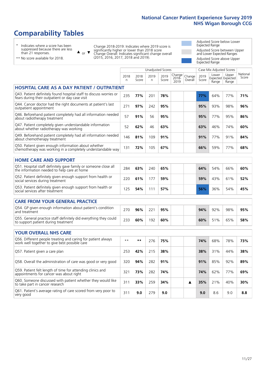# **Comparability Tables**

\* Indicates where a score has been suppressed because there are less than 21 responses.

\*\* No score available for 2018.

 $\triangle$  or  $\nabla$ 

Change 2018-2019: Indicates where 2019 score is significantly higher or lower than 2018 score Change Overall: Indicates significant change overall (2015, 2016, 2017, 2018 and 2019).

Adjusted Score below Lower Expected Range Adjusted Score between Upper and Lower Expected Ranges Adjusted Score above Upper Expected Range

|                                                                                                                       |              |               |            | Unadjusted Scores |                         |                   |               | Case Mix Adjusted Scores |                                     |                   |
|-----------------------------------------------------------------------------------------------------------------------|--------------|---------------|------------|-------------------|-------------------------|-------------------|---------------|--------------------------|-------------------------------------|-------------------|
|                                                                                                                       | 2018<br>n    | 2018<br>Score | 2019<br>n. | 2019<br>Score     | Change<br>2018-<br>2019 | Change<br>Overall | 2019<br>Score | Lower<br>Range           | Upper<br>Expected Expected<br>Range | National<br>Score |
| <b>HOSPITAL CARE AS A DAY PATIENT / OUTPATIENT</b>                                                                    |              |               |            |                   |                         |                   |               |                          |                                     |                   |
| Q43. Patient definitely found hospital staff to discuss worries or<br>fears during their outpatient or day case visit | 235          | 77%           | 201        | 78%               |                         |                   | 77%           | 64%                      | 77%                                 | 71%               |
| Q44. Cancer doctor had the right documents at patient's last<br>outpatient appointment                                | 271          | 97%           | 242        | 95%               |                         |                   | 95%           | 93%                      | 98%                                 | 96%               |
| Q46. Beforehand patient completely had all information needed<br>about radiotherapy treatment                         | 57           | 91%           | 56         | 95%               |                         |                   | 95%           | 77%                      | 95%                                 | 86%               |
| Q47. Patient completely given understandable information<br>about whether radiotherapy was working                    | 52           | 62%           | 46         | 63%               |                         |                   | 63%           | 46%                      | 74%                                 | 60%               |
| Q49. Beforehand patient completely had all information needed<br>about chemotherapy treatment                         | 146          | 81%           | 109        | 91%               |                         |                   | 91%           | 77%                      | 91%                                 | 84%               |
| Q50. Patient given enough information about whether<br>chemotherapy was working in a completely understandable way    | 131          | 72%           | 105        | 67%               |                         |                   | 66%           | 59%                      | 77%                                 | 68%               |
| <b>HOME CARE AND SUPPORT</b>                                                                                          |              |               |            |                   |                         |                   |               |                          |                                     |                   |
| Q51. Hospital staff definitely gave family or someone close all<br>the information needed to help care at home        | 284          | 63%           | 240        | 65%               |                         |                   | 64%           | 54%                      | 66%                                 | 60%               |
| Q52. Patient definitely given enough support from health or<br>social services during treatment                       | 220          | 61%           | 177        | 59%               |                         |                   | 59%           | 43%                      | 61%                                 | 52%               |
| Q53. Patient definitely given enough support from health or<br>social services after treatment                        | 125          | 54%           | 111        | 57%               |                         |                   | 56%           | 36%                      | 54%                                 | 45%               |
| <b>CARE FROM YOUR GENERAL PRACTICE</b>                                                                                |              |               |            |                   |                         |                   |               |                          |                                     |                   |
| Q54. GP given enough information about patient's condition<br>and treatment                                           | 270          | 96%           | 221        | 95%               |                         |                   | 94%           | 92%                      | 98%                                 | 95%               |
| Q55. General practice staff definitely did everything they could<br>to support patient during treatment               | 233          | 60%           | 192        | 60%               |                         |                   | 60%           | 51%                      | 65%                                 | 58%               |
| <b>YOUR OVERALL NHS CARE</b>                                                                                          |              |               |            |                   |                         |                   |               |                          |                                     |                   |
| Q56. Different people treating and caring for patient always                                                          | $\star\star$ | $**$          |            |                   |                         |                   |               |                          |                                     |                   |
| work well together to give best possible care                                                                         |              |               | 276        | 75%               |                         |                   | 74%           | 68%                      | 78%                                 | 73%               |
| Q57. Patient given a care plan                                                                                        | 253          | 42%           | 215        | 38%               |                         |                   | 38%           | 31%                      | 44%                                 | 38%               |
| Q58. Overall the administration of care was good or very good                                                         | 320          | 94%           | 282        | 91%               |                         |                   | 91%           | 85%                      | 92%                                 | 89%               |
| Q59. Patient felt length of time for attending clinics and<br>appointments for cancer was about right                 | 321          | 73%           | 282        | 74%               |                         |                   | 74%           | 62%                      | 77%                                 | 69%               |
| Q60. Someone discussed with patient whether they would like<br>to take part in cancer research                        | 311          | 33%           | 259        | 34%               |                         | ▲                 | 35%           | 21%                      | 40%                                 | 30%               |
| Q61. Patient's average rating of care scored from very poor to<br>very good                                           | 311          | 9.0           | 279        | 9.0               |                         |                   | 9.0           | 8.6                      | 9.0                                 | 8.8               |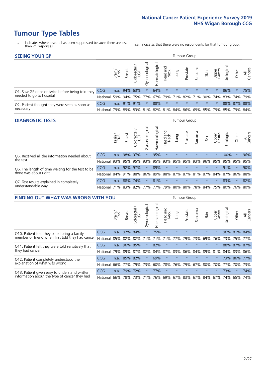# **Tumour Type Tables**

- \* Indicates where a score has been suppressed because there are less than 21 responses.
- n.a. Indicates that there were no respondents for that tumour group.

| <b>SEEING YOUR GP</b>                           |            |              |                 |             |                    |                |                  |         | Tumour Group |         |         |                 |                                                           |             |                |
|-------------------------------------------------|------------|--------------|-----------------|-------------|--------------------|----------------|------------------|---------|--------------|---------|---------|-----------------|-----------------------------------------------------------|-------------|----------------|
|                                                 |            | Brain<br>CNS | <b>Breast</b>   | Colorectal  | ᠊ᢛ<br>Gynaecologic | Haematological | Head and<br>Neck | Lung    | Prostate     | Sarcoma | Skin    | Upper<br>Gastro | $\sigma$<br>Jrologica                                     | Other       | All<br>Cancers |
| Q1. Saw GP once or twice before being told they | <b>CCG</b> |              | n.a. $94\%$ 63% |             | $\star$            | 64%            | $\star$          | $\star$ | $\star$      | $\star$ | $\star$ | $\star$         | 86%                                                       | $\star$     | 75%            |
| needed to go to hospital                        | National   | 59%          |                 | 94% 75% 77% |                    |                |                  |         |              |         |         |                 | 67%   79%   71%   82%   71%   90%   74%   83%   74%   79% |             |                |
| Q2. Patient thought they were seen as soon as   | <b>CCG</b> | n.a.         |                 | 91% 91%     | $\star$            | 88%            | $\star$          | $\star$ | $\star$      | $\star$ | $\star$ | $\star$         |                                                           | 88% 87% 88% |                |
| necessary                                       | National   | 79%          |                 | 89% 83%     |                    |                |                  |         |              |         |         |                 | 81% 82% 81% 84% 86% 69% 85% 79% 85% 79%                   |             | 84%            |

#### **DIAGNOSTIC TESTS** Tumour Group

|                                                   |                                          | Brain | <b>Breast</b> | Colorectal<br>LGT | ᠊ᢛ<br>Gynaecologic | Haematological | Head and<br>Neck | Lung        | Prostate | Sarcoma | Skin    | Upper<br>Gastro | rological                                   | Other   | All<br>Cancers |
|---------------------------------------------------|------------------------------------------|-------|---------------|-------------------|--------------------|----------------|------------------|-------------|----------|---------|---------|-----------------|---------------------------------------------|---------|----------------|
| Q5. Received all the information needed about     | <b>CCG</b>                               | n.a.  |               | 98% 97%           |                    | 95%            | $\star$          | $\star$     | $\star$  |         | $\star$ |                 | 100%                                        | $\star$ | 96%            |
| the test                                          | National                                 | 93%   |               | 95% 95%           |                    | 93% 95%        |                  | 93% 95% 95% |          | 93%     | 96%     |                 | 95% 95% 95%                                 |         | 95%            |
| Q6. The length of time waiting for the test to be | <b>CCG</b>                               | n.a.  | 92% 97%       |                   | $\star$            | 89%            | $\star$          | $\star$     | $\star$  | $\star$ | $\star$ | $\star$         | 91%                                         | $\star$ | 90%            |
| done was about right                              | <b>National</b>                          |       | 84% 91% 88%   |                   |                    |                |                  |             |          |         |         |                 | 86% 89% 88% 87% 87% 81% 87% 84% 87% 86% 88% |         |                |
| Q7. Test results explained in completely          | <b>CCG</b>                               | n.a.  |               | 88% 74%           | $\star$            | 81%            | $\star$          | $\star$     | $\star$  | $\star$ | $\star$ | $\star$         | 83%                                         | $\star$ | 82%            |
| understandable way                                | National 71% 83% 82% 77% 77% 79% 80% 80% |       |               |                   |                    |                |                  |             |          |         |         |                 | 78% 84% 75% 80% 76% 80%                     |         |                |

| <b>FINDING OUT WHAT WAS WRONG WITH YOU</b>        |          |        |               |                       |                |                   |                        |         | <b>Tumour Group</b> |         |         |                 |            |         |                |
|---------------------------------------------------|----------|--------|---------------|-----------------------|----------------|-------------------|------------------------|---------|---------------------|---------|---------|-----------------|------------|---------|----------------|
|                                                   |          | Brain  | <b>Breast</b> | olorectal<br>LGT<br>Ō | Gynaecological | aematologica<br>エ | ad and<br>Neck<br>Head | Lung    | Prostate            | Sarcoma | Skin    | Upper<br>Gastro | Urological | Other   | All<br>Cancers |
| Q10. Patient told they could bring a family       | CCG      | n.a.   | 92%           | 84%                   |                | 75%               | $\star$                | $\star$ | $\star$             | $\star$ | $\star$ | $\star$         | 96%        | 81%     | 84%            |
| member or friend when first told they had cancer  | National | 85%    | 82%           | 82%                   | 71%            | 71%               | 71%                    | 77%     | 79%                 | 73%     | 69%     | 76%             | 73%        | 75%     | 77%            |
| Q11. Patient felt they were told sensitively that | CCG      | n.a.   |               | 96% 85%               |                | 82%               | $^\star$               | $\star$ | $\star$             | $\star$ | $\star$ | $\star$         |            | 88% 87% | 87%            |
| they had cancer                                   | National | 79%    | 89% 87%       |                       | 82%            |                   | 84% 87%                | 83% 86% |                     | 84%     |         | 89% 81%         |            | 84% 83% | 86%            |
| Q12. Patient completely understood the            | CCG      | n.a.   | 85% 82%       |                       |                | 69%               | $\star$                | $\star$ | $\star$             | $\star$ | $\star$ |                 |            | 73% 86% | 77%            |
| explanation of what was wrong                     | National |        | 66% 77%       | 79%                   | 73%            | 60%               | 78%                    | 76%     | 79%                 | 67%     | 80%     | 70%             | 77%        | 70%     | 73%            |
| Q13. Patient given easy to understand written     | CCG      | n.a.   | 79%           | 72%                   |                | 77%               | $\star$                | $\star$ | $\star$             | $\star$ | $\star$ | $\star$         | 73%        | $\ast$  | 74%            |
| information about the type of cancer they had     | National | $66\%$ | 78%           | 73%                   | 71%            | 76%               | 69%                    | 67% 83% |                     | 67%     | 84%     | 67%             | 74%        | 65%     | 74%            |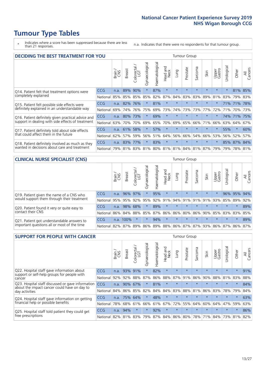# **Tumour Type Tables**

\* Indicates where a score has been suppressed because there are less than 21 responses.

n.a. Indicates that there were no respondents for that tumour group.

|                                                    | <b>DECIDING THE BEST TREATMENT FOR YOU</b> |       |               |                        |                |                |                         |         | <b>Tumour Group</b> |                                     |         |                 |            |         |                |
|----------------------------------------------------|--------------------------------------------|-------|---------------|------------------------|----------------|----------------|-------------------------|---------|---------------------|-------------------------------------|---------|-----------------|------------|---------|----------------|
|                                                    |                                            | Brain | <b>Breast</b> | olorectal.<br>LGT<br>Ü | Gynaecological | Haematological | ead and<br>Neck<br>Head | Lung    | Prostate            | Sarcoma                             | Skin    | Upper<br>Gastro | Jrological | Other   | All<br>Cancers |
| Q14. Patient felt that treatment options were      | CCG                                        | n.a.  | 89%           | 90%                    | $\star$        | 87%            | $\star$                 | $\star$ | $\star$             | $\star$                             | $\star$ | $\star$         | $\star$    | 81%     | 85%            |
| completely explained                               | National                                   | 85%   | 85%           | 85%                    | 85%            | 82%            | 87%                     | 84%     | 83%                 | 83%                                 | 89%     | 81%             | 83%        | 79%     | 83%            |
| Q15. Patient felt possible side effects were       | CCG                                        | n.a.  | 82%           | 76%                    | $\star$        | 81%            | $\star$                 | $\star$ | $\star$             | $\star$                             |         | $\star$         |            | 71% 71% | 78%            |
| definitely explained in an understandable way      | National                                   | 69%   | 74%           | 76%                    | 75%            | 69%            | 73%                     | 74%     | 73%                 | 73%                                 | 77%     | 72%             | 71%        | 70%     | 73%            |
| Q16. Patient definitely given practical advice and | CCG                                        | n.a.  | 80%           | 73%                    | $\star$        | 69%            | $\star$                 | $\star$ | $\star$             | $\star$                             | $\star$ | $\star$         |            | 74% 71% | 75%            |
| support in dealing with side effects of treatment  | National                                   | 63%   | 70%           | 70%                    | 69%            | 65%            | 70%                     | 69%     | 65%                 | 66%                                 | 71%     | 66%             | 63%        | 64%     | 67%            |
| Q17. Patient definitely told about side effects    | CCG                                        | n.a.  | 61%           | 58%                    |                | 57%            | $\star$                 | $\star$ | $\star$             | $\star$                             | $\star$ | $\star$         | 55%        | $\star$ | 60%            |
| that could affect them in the future               | National                                   | 62%   | 57%           | 59%                    | 56%            | 51%            | 64%                     | 56%     | 66%                 | 54%                                 | 66%     | 53%             |            | 56% 52% | 57%            |
| Q18. Patient definitely involved as much as they   | CCG                                        | n.a.  | 83%           | 77%                    | $\star$        | 83%            | $\star$                 | $\star$ | $\star$             | $\star$                             | $\star$ | $\star$         |            | 85% 87% | 84%            |
| wanted in decisions about care and treatment       | National                                   | 79%   |               |                        |                |                |                         |         |                     | 81% 83% 81% 80% 81% 81% 84% 81% 87% |         | 79%             | 79%        | 78% 81% |                |

#### **CLINICAL NURSE SPECIALIST (CNS)** Tumour Group

|                                             |            | Brain | <b>Breast</b> | Colorectal<br>LGT | $\sigma$<br>Gynaecologic | Haematological  | Head and<br>Neck | Lung    | Prostate | Sarcoma | Skin                        | Upper<br>Gastro | rological | Other           | All<br>Cancers |
|---------------------------------------------|------------|-------|---------------|-------------------|--------------------------|-----------------|------------------|---------|----------|---------|-----------------------------|-----------------|-----------|-----------------|----------------|
| Q19. Patient given the name of a CNS who    | <b>CCG</b> | n.a.  | 96% 97%       |                   |                          | 95%             | $\star$          | $\star$ | $\star$  | $\star$ | $\star$                     | $\star$         |           | 96% 95% 94%     |                |
| would support them through their treatment  | National   | 95%   | 95%           | 92%               | 95%                      | 92%             | 91%              | 94% 91% |          | 91%     | 91%                         | 93%             |           | 85% 89%         | 92%            |
| Q20. Patient found it very or quite easy to | <b>CCG</b> | n.a.  | 98% 68%       |                   |                          | 89%             | $\star$          | $\star$ | $\star$  | $\star$ | $\star$                     | $\star$         | $\star$   | $\star$         | 89%            |
| contact their CNS                           | National   | 86%   | 84%           | 88%               | 85%                      | 87% 86% 86% 80% |                  |         |          | 86%     | 90%                         | 85%             |           | 83% 83%         | 85%            |
| Q21. Patient got understandable answers to  | CCG        | n.a.  | 100%          |                   | $\star$                  | 94%             | $\star$          | $\star$ | $\star$  | $\star$ | $\star$                     | $\star$         | $\star$   | $\star$         | 89%            |
| important questions all or most of the time | National   | 82%   | 87%           | 89%               |                          |                 |                  |         |          |         | 86% 89% 88% 86% 87% 87% 93% |                 |           | 86% 87% 86% 87% |                |

| <b>SUPPORT FOR PEOPLE WITH CANCER</b>                                                             |            |       |               |                             |                |                |                        |             | Tumour Group |         |         |                 |            |         |                |
|---------------------------------------------------------------------------------------------------|------------|-------|---------------|-----------------------------|----------------|----------------|------------------------|-------------|--------------|---------|---------|-----------------|------------|---------|----------------|
|                                                                                                   |            | Brain | <b>Breast</b> | olorectal.<br>LGT<br>$\cup$ | Gynaecological | Haematological | ad and<br>Neck<br>Head | <b>Fung</b> | Prostate     | Sarcoma | Skin    | Upper<br>Gastro | Urological | Other   | All<br>Cancers |
| Q22. Hospital staff gave information about<br>support or self-help groups for people with         | CCG        | n.a.  | 93%           | 91%                         | $\star$        | 82%            | $\star$                | $\star$     | $\star$      | $\star$ | $\star$ | $\star$         | $\star$    | $\star$ | 91%            |
| cancer                                                                                            | National   | 92%   | 92%           | 88%                         | 87%            | 86%            | 88%                    | 87%         | 91%          | 86%     | 90%     | 88%             | 81%        | 83%     | 88%            |
| Q23. Hospital staff discussed or gave information<br>about the impact cancer could have on day to | CCG        | n.a.  | 90%           | 67%                         | $\star$        | 81%            | $\star$                | $\star$     | $\star$      | $\star$ | $\star$ | $\star$         | $\star$    | $\star$ | 84%            |
| day activities                                                                                    | National   | 84%   | 86%           | 85%                         | 82%            | 84%            | 84%                    | 83%         | 88%          | 81%     | 86%     | 83%             | 78%        | 79%     | 84%            |
| Q24. Hospital staff gave information on getting                                                   | <b>CCG</b> | n.a.  |               | 75% 64%                     | $\star$        | 48%            | $\star$                | $\star$     | $\star$      | $\star$ | $\star$ | $\star$         | $\star$    | $\star$ | 63%            |
| financial help or possible benefits                                                               | National   | 78%   | 68%           | 61%                         | 66%            | 61%            | 67%                    | 72%         | 55%          | 64%     | 60%     | 64%             | 47%        | 59%     | 63%            |
| Q25. Hospital staff told patient they could get                                                   | <b>CCG</b> | n.a.  | 94%           | $\star$                     | $\star$        | 92%            | $\star$                | $\star$     | $\star$      | $\star$ | $\star$ | $\star$         | $\star$    | $\star$ | 86%            |
| free prescriptions                                                                                | National   | 82%   | 81%           | 83%                         | 79%            | 87%            | 84%                    | 86%         | 80%          | 78%     | 71%     | 84%             | 73%        | 81%     | 82%            |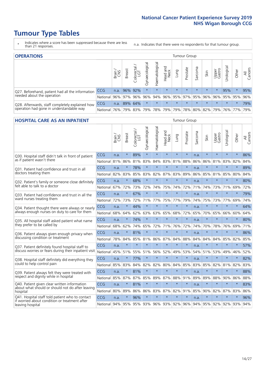# **Tumour Type Tables**

- \* Indicates where a score has been suppressed because there are less than 21 responses.
- n.a. Indicates that there were no respondents for that tumour group.

| <b>OPERATIONS</b>                                |          |       |               |                   |                    |                |                         |         | Tumour Group |         |         |                 |                                                  |         |                |
|--------------------------------------------------|----------|-------|---------------|-------------------|--------------------|----------------|-------------------------|---------|--------------|---------|---------|-----------------|--------------------------------------------------|---------|----------------|
|                                                  |          | Brain | <b>Breast</b> | Colorectal<br>LGT | ᠊ᢛ<br>Gynaecologic | Haematological | Head and<br>Neck        | Lung    | Prostate     | Sarcoma | Skin    | Upper<br>Gastro | $\sigma$<br>Jrologica                            | Other   | All<br>Cancers |
| Q27. Beforehand, patient had all the information | CCG      | n.a.  |               | 96% 92%           | $\star$            |                | $\star$                 | $\star$ | $\star$      | $\star$ | $\star$ |                 | 95%                                              | $\star$ | 95%            |
| needed about the operation                       | National | 96%   |               | 97% 96%           | 96%                |                | 94% 96% 95% 97% 95% 96% |         |              |         |         |                 | 96%   95%   95%   96%                            |         |                |
| Q28. Afterwards, staff completely explained how  | CCG      | n.a.  |               | 89% 64%           | $\star$            | $\star$        | $\star$                 | $\star$ | $\star$      | $\star$ | $\star$ | $\star$         | $\star$                                          | $\star$ | 79%            |
| operation had gone in understandable way         | National | 76%   |               | 79% 83%           |                    |                |                         |         |              |         |         |                 | 79%  78%  79%  79%  78%  80%  82%  79%  76%  77% |         | 79%            |

#### **HOSPITAL CARE AS AN INPATIENT** Tumour Group

|                                                                                                  |            | Brain | <b>Breast</b> | $\frac{\text{Colored}}{\text{LGT}}$ | Gynaecological | Haematological      | Head and<br><b>Neck</b> | Lung    | Prostate | Sarcoma | Skin    | Upper<br>Gastro | Urological  | Other   | Cancers<br>$\overline{\overline{z}}$ |
|--------------------------------------------------------------------------------------------------|------------|-------|---------------|-------------------------------------|----------------|---------------------|-------------------------|---------|----------|---------|---------|-----------------|-------------|---------|--------------------------------------|
| Q30. Hospital staff didn't talk in front of patient                                              | CCG        | n.a.  | $\star$       | 89%                                 | $\star$        | $\star$             | $\star$                 | $\star$ | $\star$  | n.a.    | $\star$ | $\star$         | $\star$     | $\star$ | 86%                                  |
| as if patient wasn't there                                                                       | National   | 81%   | 86%           | 81%                                 | 83%            | 84%                 | 83%                     | 81%     | 88%      | 86%     | 86%     | 81%             | 83%         | 82%     | 84%                                  |
| 031. Patient had confidence and trust in all                                                     | CCG        | n.a.  | $\star$       | 78%                                 | $\star$        | $\star$             | $\star$                 | $\star$ | $\star$  | n.a.    | $\star$ | $\star$         | $\star$     | $\star$ | 89%                                  |
| doctors treating them                                                                            | National   | 82%   | 83%           | 85%                                 | 83%            | 82%                 | 87%                     | 83%     | 89%      | 86%     | 85%     | 81%             | 85%         | 80%     | 84%                                  |
| Q32. Patient's family or someone close definitely                                                | CCG        | n.a.  | $\star$       | 68%                                 |                | $\star$             | $\star$                 | $\star$ | $\star$  | n.a.    |         |                 | $\star$     | $\star$ | 80%                                  |
| felt able to talk to a doctor                                                                    | National   | 67%   | 72%           | 73%                                 | 72%            | 74%                 | 75%                     | 74%     | 72%      | 71%     | 74%     | 73%             | 71%         | 69%     | 72%                                  |
| Q33. Patient had confidence and trust in all the                                                 | CCG        | n.a.  | $\star$       | 67%                                 | $\star$        | $\star$             | $\star$                 | $\star$ | $\star$  | n.a.    | $\star$ | $\star$         | $\star$     | $\star$ | 79%                                  |
| ward nurses treating them                                                                        | National   | 72%   | 73%           | 72%                                 | 71%            | 77%                 |                         | 75% 77% | 79%      | 74%     | 75%     | 73%             | 77%         | 69%     | 74%                                  |
| Q34. Patient thought there were always or nearly                                                 | CCG        | n.a.  | $\star$       | 44%                                 | $\star$        | $\star$             | $\star$                 | $\star$ | $\star$  | n.a.    | $\star$ |                 | $\star$     | $\star$ | 64%                                  |
| always enough nurses on duty to care for them                                                    | National   | 68%   | 64%           | 62%                                 | 63%            | 63%                 |                         | 65% 68% | 72%      | 65%     | 70%     | 65%             | 66%         | 60%     | 64%                                  |
| Q35. All hospital staff asked patient what name                                                  | CCG        | n.a.  | $\star$       | 74%                                 | $\star$        | $\star$             | $\star$                 | $\star$ | $\star$  | n.a.    | $\star$ | $\star$         | $\star$     | $\star$ | 80%                                  |
| they prefer to be called by                                                                      | National   | 68%   | 62%           | 74%                                 | 65%            | 72%                 | 71%                     | 76%     | 72%      | 74%     | 70%     | 78%             | 76%         | 69%     | 71%                                  |
| Q36. Patient always given enough privacy when                                                    | CCG        | n.a.  | $\star$       | 81%                                 | $\star$        | $\star$             | $\star$                 | $\star$ | $\star$  | n.a.    | $\star$ | $\star$         | $\star$     | $\star$ | 86%                                  |
| discussing condition or treatment                                                                | National   | 78%   | 84%           | 85%                                 | 81%            | 86%                 | 87%                     | 84%     | 88%      | 84%     | 84%     | 84%             | 85%         | 82%     | 85%                                  |
| Q37. Patient definitely found hospital staff to                                                  | <b>CCG</b> | n.a.  | $\star$       | $\star$                             | $\star$        | $\star$             | $\star$                 | $\star$ | $\star$  | n.a.    | $\star$ | $\star$         | $\star$     | $\star$ | 57%                                  |
| discuss worries or fears during their inpatient visit                                            | National   | 45%   | 51%           | 55%                                 | 51%            | 56%                 | 52%                     | 49%     | 53%      | 54%     | 51%     | 53%             | 49%         | 46%     | 52%                                  |
| Q38. Hospital staff definitely did everything they                                               | CCG        | n.a.  | $\star$       | 77%                                 | $\star$        | $\star$             | $\star$                 | $\star$ | $\star$  | n.a.    | $\star$ |                 | $\star$     | $\star$ | 82%                                  |
| could to help control pain                                                                       | National   | 85%   | 83%           | 84%                                 | 82%            | 82%                 | 80%                     | 84%     | 85%      | 83%     | 85%     | 82%             | 81%         | 82%     | 83%                                  |
| Q39. Patient always felt they were treated with                                                  | CCG        | n.a.  | $\star$       | 81%                                 | $\star$        | $\star$             | $\star$                 | $\star$ | $\star$  | n.a.    | $\star$ | $\star$         | $\star$     | $\star$ | 88%                                  |
| respect and dignity while in hospital                                                            | National   | 85%   | 87%           | 87%                                 | 85%            | 89%                 | 87%                     | 88%     | 91%      | 89%     | 89%     | 88%             | 90%         | 86%     | 88%                                  |
| Q40. Patient given clear written information<br>about what should or should not do after leaving | CCG        | n.a.  | $\star$       | 81%                                 | $\star$        | $\star$             | $\star$                 | $\star$ | $\star$  | n.a.    | $\star$ | $\star$         | $\star$     | $\star$ | 83%                                  |
| hospital                                                                                         | National   | 80%   | 89%           | 86%                                 | 86%            | 83%                 |                         | 87% 82% | 91%      | 85%     | 90%     | 82%             | 87%         | 83%     | 86%                                  |
| Q41. Hospital staff told patient who to contact<br>if worried about condition or treatment after | CCG        | n.a.  | $\star$       | 96%                                 | $\star$        | $\star$             | $\star$                 | $\star$ | $\star$  | n.a.    | $\star$ | $\star$         | $\star$     | $\star$ | 96%                                  |
| leaving hospital                                                                                 | National   | 94%   | 95%           |                                     |                | 95% 93% 96% 93% 92% |                         |         | 96%      | 94%     |         |                 | 95% 92% 92% | 93%     | 94%                                  |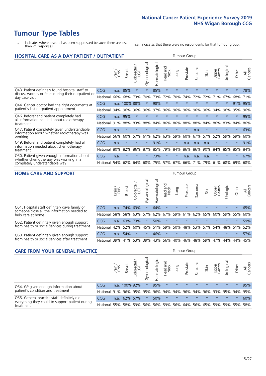# **Tumour Type Tables**

- \* Indicates where a score has been suppressed because there are less than 21 responses.
- n.a. Indicates that there were no respondents for that tumour group.

| <b>HOSPITAL CARE AS A DAY PATIENT / OUTPATIENT</b>                                                                    |            |       |               |                                                   |                |                |                         |         |          | <b>Tumour Group</b> |         |                 |            |         |                |  |  |  |  |  |  |  |
|-----------------------------------------------------------------------------------------------------------------------|------------|-------|---------------|---------------------------------------------------|----------------|----------------|-------------------------|---------|----------|---------------------|---------|-----------------|------------|---------|----------------|--|--|--|--|--|--|--|
|                                                                                                                       |            | Brain | <b>Breast</b> | $\overline{\phantom{0}}$<br>olorectal<br>LGT<br>Ũ | Gynaecological | Haematological | ead and<br>Neck<br>Head | Lung    | Prostate | Sarcoma             | Skin    | Upper<br>Gastro | Urological | Other   | All<br>Cancers |  |  |  |  |  |  |  |
| Q43. Patient definitely found hospital staff to                                                                       | CCG        | n.a.  | 85%           | $\star$                                           | $\star$        | 85%            | $\star$                 | $\star$ | $\star$  | $\star$             | $\star$ | $\star$         | $\star$    | $\star$ | 78%            |  |  |  |  |  |  |  |
| discuss worries or fears during their outpatient or<br>day case visit                                                 | National   | 66%   | 68%           | 73%                                               | 70%            | 73%            | 72%                     | 70%     | 74%      | 72%                 | 72%     | 71%             | 67%        | 68%     | 71%            |  |  |  |  |  |  |  |
| Q44. Cancer doctor had the right documents at<br>patient's last outpatient appointment                                | <b>CCG</b> | n.a.  | 100% 88%      |                                                   | $\star$        | 98%            | $\star$                 | $\star$ | $\star$  | $\star$             | $\star$ | $\star$         | $\star$    | 91%     | 95%            |  |  |  |  |  |  |  |
|                                                                                                                       | National   | 94%   | 96%           | 96%                                               | 96%            | 97%            | 96%                     | 96%     | 96%      | 96%                 | 96%     | 94%             | 96%        | 95%     | 96%            |  |  |  |  |  |  |  |
| Q46. Beforehand patient completely had                                                                                | CCG        | n.a.  | 95%           | $\star$                                           |                |                | $\star$                 | $\star$ | $\star$  | $\star$             |         |                 |            | $\star$ | 95%            |  |  |  |  |  |  |  |
| all information needed about radiotherapy<br>treatment                                                                | National   | 91%   | 88%           | 83%                                               | 88%            | 84%            | 86%                     | 86%     | 88%      | 88%                 | 84%     | 86%             | 83%        | 84%     | 86%            |  |  |  |  |  |  |  |
| Q47. Patient completely given understandable                                                                          | CCG        | n.a.  | $\star$       | $\star$                                           |                |                | $\star$                 | $\star$ | $\star$  | n.a.                |         |                 |            | $\star$ | 63%            |  |  |  |  |  |  |  |
| information about whether radiotherapy was<br>working                                                                 | National   | 56%   | 60%           | 57%                                               | 61%            | 62%            | 63%                     | 59%     | 60%      | 67%                 | 57%     | 52%             | 59%        | 59%     | 60%            |  |  |  |  |  |  |  |
| Q49. Beforehand patient completely had all                                                                            | <b>CCG</b> | n.a.  | $\star$       | $\star$                                           | $\star$        | 91%            | $\star$                 | $\star$ | n.a.     | n.a.                | n.a.    | $\star$         | $\star$    | $\ast$  | 91%            |  |  |  |  |  |  |  |
| information needed about chemotherapy<br>treatment                                                                    | National   | 80%   | 82%           | 86%                                               | 87%            | 85%            | 79%                     | 84%     | 86%      | 86%                 | 90%     | 84%             | 85%        | 85%     | 84%            |  |  |  |  |  |  |  |
| Q50. Patient given enough information about<br>whether chemotherapy was working in a<br>completely understandable way | <b>CCG</b> | n.a.  | $\star$       | $\star$                                           | $\star$        | 73%            | $\star$                 | $\star$ | n.a.     | n.a.                | n.a.    | $\star$         | $\star$    | $\ast$  | 67%            |  |  |  |  |  |  |  |
|                                                                                                                       | National   | 54%   | 62%           | 64%                                               | 68%            | 75%            |                         | 57% 67% | 66%      | 71%                 | 79%     | 61%             | 68%        | 69%     | 68%            |  |  |  |  |  |  |  |

### **HOME CARE AND SUPPORT** Tumour Group

|                                                                                                                   |            | Brain<br>CNS | <b>Breast</b> | Colorectal<br>LGT | ᠊ᢛ<br>Gynaecologic | Haematological | ad and<br>Neck<br>Head | <b>Lung</b> | Prostate | Sarcoma | Skin    | Upper<br>Gastro | rological   | Other   | All<br>Cancers |
|-------------------------------------------------------------------------------------------------------------------|------------|--------------|---------------|-------------------|--------------------|----------------|------------------------|-------------|----------|---------|---------|-----------------|-------------|---------|----------------|
| Q51. Hospital staff definitely gave family or<br>someone close all the information needed to<br>help care at home | <b>CCG</b> | n.a.         |               | 74% 63%           | $\star$            | 64%            | $\star$                | $\star$     | $\star$  | $\star$ | $\star$ | $\star$         | $\star$     | $\star$ | 65%            |
|                                                                                                                   | National   | 58%          | 58%           | 63%               | 57%                |                | 62% 67%                |             | 59% 61%  |         | 62% 65% | 60%             | 59% 55%     |         | 60%            |
| Q52. Patient definitely given enough support<br>from health or social services during treatment                   | <b>CCG</b> | n.a.         |               | 63% 73%           | $\star$            | 50%            | $\star$                | $\star$     | $\star$  |         | $\star$ | $\star$         | $\star$     | $\star$ | 59%            |
|                                                                                                                   | National   | 42%          | 52%           | 60%               |                    | 45% 51%        | 59%                    | 50%         | 48%      |         | 53% 57% |                 | 54% 48% 51% |         | 52%            |
| Q53. Patient definitely given enough support<br>from health or social services after treatment                    | <b>CCG</b> | n.a.         | 54%           |                   | $\star$            | 46%            | $\star$                | $\star$     | $\star$  | $\star$ | $\star$ | $\star$         | $\star$     | $\star$ | 57%            |
|                                                                                                                   | National   | 39%          |               | 41% 53%           | 39%                | 43%            | 56%                    | 40%         | 46%      |         | 48% 59% | 47%             | 44%         | 44%     | 45%            |

| <b>CARE FROM YOUR GENERAL PRACTICE</b>                                                                     |              |               |               |                   |                |                | Tumour Group                        |         |          |         |         |                 |           |                 |                |  |
|------------------------------------------------------------------------------------------------------------|--------------|---------------|---------------|-------------------|----------------|----------------|-------------------------------------|---------|----------|---------|---------|-----------------|-----------|-----------------|----------------|--|
|                                                                                                            |              | Brain.<br>CNS | <b>Breast</b> | Colorectal<br>LGT | Gynaecological | Haematological | Head and<br>Neck                    | Lung    | Prostate | Sarcoma | Skin    | Upper<br>Gastro | Urologica | Other           | All<br>Cancers |  |
| Q54. GP given enough information about<br>patient's condition and treatment                                | CCG          |               | n.a. 100% 92% |                   | $\star$        | 95%            | $\star$                             | $\star$ | $\star$  | $\star$ | $\star$ | $\star$         | $\star$   | $\star$         | 95%            |  |
|                                                                                                            | National 91% |               |               |                   | 96% 95% 95%    |                | 96% 94% 94% 96% 94% 96% 93% 95% 94% |         |          |         |         |                 |           |                 | 95%            |  |
| Q55. General practice staff definitely did<br>everything they could to support patient during<br>treatment | <b>CCG</b>   | n.a.          |               | 62% 57%           | $\star$        | 50%            | $\star$                             | $\star$ | $\star$  | $\star$ | $\star$ | $\star$         | $\star$   | $\star$         | 60%            |  |
|                                                                                                            | National 55% |               |               | 58% 59%           | 56%            |                | 56% 59% 56% 64%                     |         |          |         | 56% 65% |                 |           | 59%   59%   55% | 58%            |  |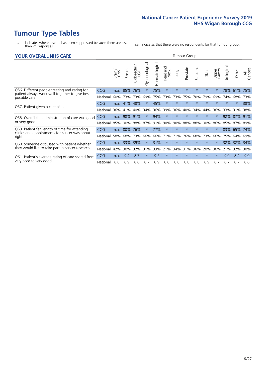# **Tumour Type Tables**

- \* Indicates where a score has been suppressed because there are less than 21 responses.
- n.a. Indicates that there were no respondents for that tumour group.

#### **YOUR OVERALL NHS CARE** THE TWO CONTROLLER THE THE THROUP CHANGE THE TUMOUR GROUP

|                                                                                                                  |            | Brain | <b>Breast</b> | Colorectal<br>LGT | Gynaecological | Haematological | aad and<br>Neck<br>Head | Lung    | Prostate | arcoma<br>$\sqrt{ }$ | Skin    | Upper<br>Gastro | $\overline{c}$<br>Urologic | Other   | All<br>Cancers |  |  |  |  |  |
|------------------------------------------------------------------------------------------------------------------|------------|-------|---------------|-------------------|----------------|----------------|-------------------------|---------|----------|----------------------|---------|-----------------|----------------------------|---------|----------------|--|--|--|--|--|
| Q56. Different people treating and caring for<br>patient always work well together to give best<br>possible care | <b>CCG</b> | n.a.  | 85%           | 76%               |                | 75%            | $\star$                 | $\star$ | $\star$  | $\star$              | $\star$ | $\star$         | 78%                        | 61%     | 75%            |  |  |  |  |  |
|                                                                                                                  | National   | 60%   |               | 73% 73%           | 69%            | 75%            | 73%                     | 73%     | 75%      | 70%                  | 79%     | 69%             | 74%                        | 68%     | 73%            |  |  |  |  |  |
| Q57. Patient given a care plan                                                                                   | CCG        | n.a.  | 41%           | 48%               |                | 45%            | $\star$                 | $\star$ | $\star$  | $\star$              | $\star$ | $\star$         | $\star$                    | $\ast$  | 38%            |  |  |  |  |  |
|                                                                                                                  | National   | 36%   | 41%           | 40%               | 34%            | 36%            | 39%                     | 36%     | 40%      | 34%                  | 44%     | 36%             | 33%                        | 31%     | 38%            |  |  |  |  |  |
| Q58. Overall the administration of care was good                                                                 | <b>CCG</b> | n.a.  | 98%           | 91%               |                | 94%            | $\star$                 | $\star$ | $\star$  | $\star$              | $\star$ |                 | 92%                        | 87%     | 91%            |  |  |  |  |  |
| or very good                                                                                                     | National   | 85%   |               | 90% 88%           | 87%            | 91%            | 90%                     | 90%     | 88%      | 88%                  | 90%     | 86%             | 85%                        | 87% 89% |                |  |  |  |  |  |
| Q59. Patient felt length of time for attending                                                                   | CCG        | n.a.  | 80%           | 76%               |                | 77%            | $\star$                 | $\star$ | $\star$  | $\star$              | $\star$ | $\star$         | 83%                        | 65%     | 74%            |  |  |  |  |  |
| clinics and appointments for cancer was about<br>right                                                           | National   | 58%   | 68%           | 73%               | 66%            | 66%            | 71%                     | 71%     | 76%      | 68%                  | 73%     | 66%             | 75%                        | 64%     | 69%            |  |  |  |  |  |
| Q60. Someone discussed with patient whether<br>they would like to take part in cancer research                   | <b>CCG</b> | n.a.  | 33%           | 39%               |                | 31%            | $\star$                 | $\star$ | $\star$  | $\star$              | $\star$ |                 | 32%                        | 32%     | 34%            |  |  |  |  |  |
|                                                                                                                  | National   | 42%   | 30%           | 32%               | 31%            | 33%            | 21%                     | 34%     | 31%      | 36%                  | 20%     | 36%             | 21%                        | 32%     | 30%            |  |  |  |  |  |
| Q61. Patient's average rating of care scored from<br>very poor to very good                                      | <b>CCG</b> | n.a.  | 9.4           | 8.7               | $\star$        | 9.2            | $\star$                 | $\star$ | $\star$  | $\star$              | $\star$ | $\star$         | 9.0                        | 8.4     | 9.0            |  |  |  |  |  |
|                                                                                                                  | National   | 8.6   | 8.9           | 8.8               | 8.7            | 8.9            | 8.8                     | 8.8     | 8.8      | 8.8                  | 8.9     | 8.7             | 8.7                        | 8.7     | 8.8            |  |  |  |  |  |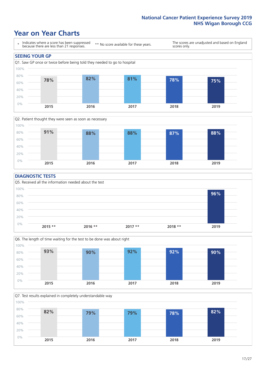### **Year on Year Charts**





#### **DIAGNOSTIC TESTS**





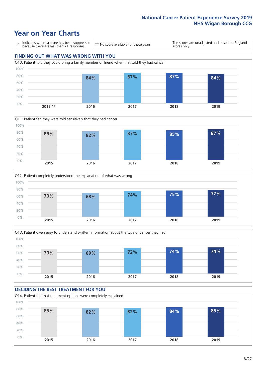







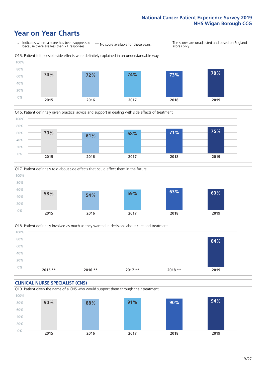







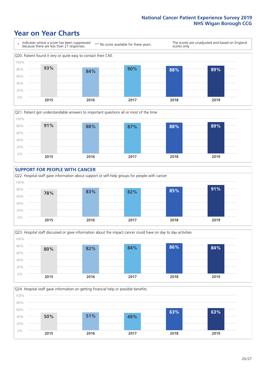









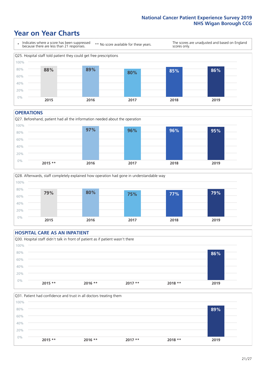### **Year on Year Charts**



#### **OPERATIONS**





### **HOSPITAL CARE AS AN INPATIENT** Q30. Hospital staff didn't talk in front of patient as if patient wasn't there 0% 20% 40% 60% 80% 100% **2015 \*\* 2016 \*\* 2017 \*\* 2018 \*\* 2019 86%**

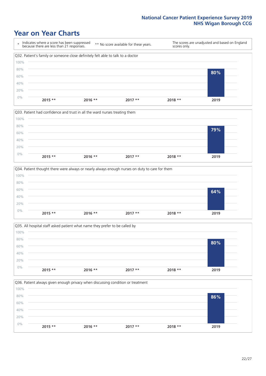







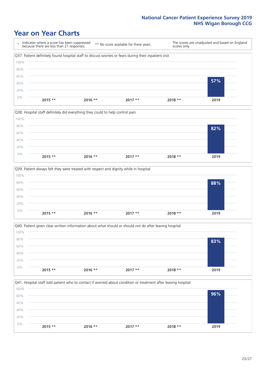







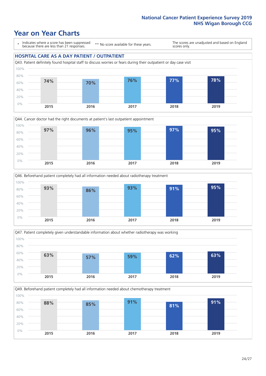### **Year on Year Charts**

\* Indicates where a score has been suppressed because there are less than 21 responses.

\*\* No score available for these years.

The scores are unadjusted and based on England scores only.

### **HOSPITAL CARE AS A DAY PATIENT / OUTPATIENT**









Q49. Beforehand patient completely had all information needed about chemotherapy treatment

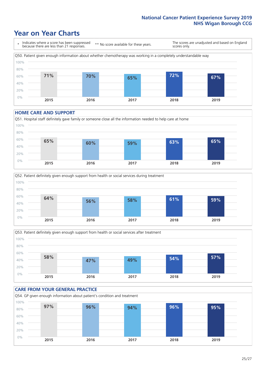### **Year on Year Charts**

\* Indicates where a score has been suppressed because there are less than 21 responses. \*\* No score available for these years. The scores are unadjusted and based on England scores only. Q50. Patient given enough information about whether chemotherapy was working in a completely understandable way 0% 20% 40% 60% 80% 100% **2015 2016 2017 2018 2019 71% 70% 65% 72% 67%**

#### **HOME CARE AND SUPPORT**







### **CARE FROM YOUR GENERAL PRACTICE** Q54. GP given enough information about patient's condition and treatment 0% 20% 40% 60% 80% 100% **2015 2016 2017 2018 2019 97% 96% 94% 96% 95%**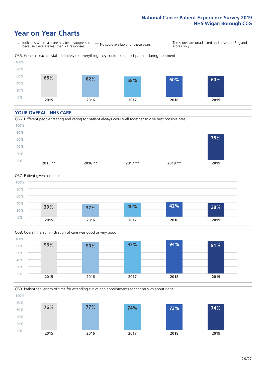### **Year on Year Charts**

\* Indicates where a score has been suppressed because there are less than 21 responses.

\*\* No score available for these years.

The scores are unadjusted and based on England scores only.



#### **YOUR OVERALL NHS CARE**







Q59. Patient felt length of time for attending clinics and appointments for cancer was about right 0% 20% 40% 60% 80% 100% **2015 2016 2017 2018 2019 76% 77% 74% 73% 74%**